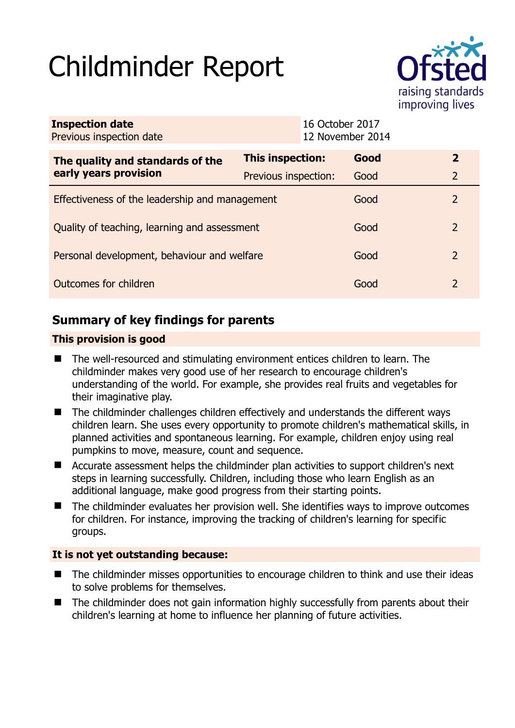# Childminder Report



| <b>Inspection date</b><br>Previous inspection date        |                      | 16 October 2017<br>12 November 2014 |      |                |
|-----------------------------------------------------------|----------------------|-------------------------------------|------|----------------|
| The quality and standards of the<br>early years provision | This inspection:     |                                     | Good | $\overline{2}$ |
|                                                           | Previous inspection: |                                     | Good | $\overline{2}$ |
| Effectiveness of the leadership and management            |                      |                                     | Good | 2              |
| Quality of teaching, learning and assessment              |                      |                                     | Good | 2              |
| Personal development, behaviour and welfare               |                      |                                     | Good | 2              |
| Outcomes for children                                     |                      |                                     | Good | 2              |

# **Summary of key findings for parents**

## **This provision is good**

- The well-resourced and stimulating environment entices children to learn. The childminder makes very good use of her research to encourage children's understanding of the world. For example, she provides real fruits and vegetables for their imaginative play.
- The childminder challenges children effectively and understands the different ways children learn. She uses every opportunity to promote children's mathematical skills, in planned activities and spontaneous learning. For example, children enjoy using real pumpkins to move, measure, count and sequence.
- Accurate assessment helps the childminder plan activities to support children's next steps in learning successfully. Children, including those who learn English as an additional language, make good progress from their starting points.
- The childminder evaluates her provision well. She identifies ways to improve outcomes for children. For instance, improving the tracking of children's learning for specific groups.

## **It is not yet outstanding because:**

- The childminder misses opportunities to encourage children to think and use their ideas to solve problems for themselves.
- The childminder does not gain information highly successfully from parents about their children's learning at home to influence her planning of future activities.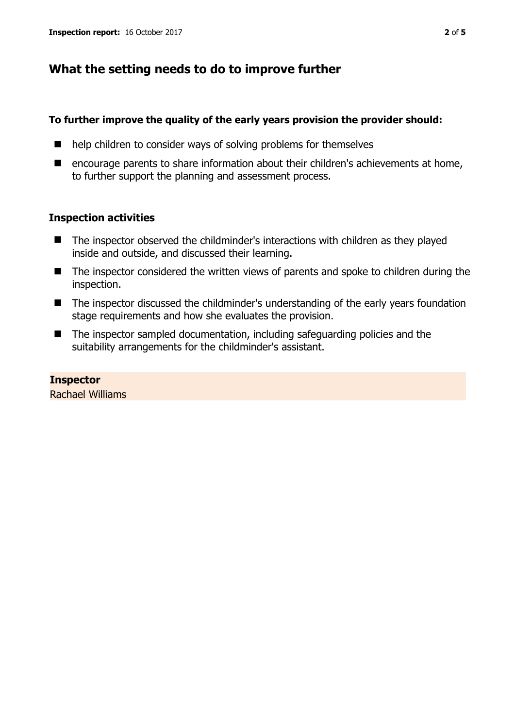## **What the setting needs to do to improve further**

#### **To further improve the quality of the early years provision the provider should:**

- help children to consider ways of solving problems for themselves
- encourage parents to share information about their children's achievements at home, to further support the planning and assessment process.

#### **Inspection activities**

- The inspector observed the childminder's interactions with children as they played inside and outside, and discussed their learning.
- The inspector considered the written views of parents and spoke to children during the inspection.
- The inspector discussed the childminder's understanding of the early years foundation stage requirements and how she evaluates the provision.
- The inspector sampled documentation, including safeguarding policies and the suitability arrangements for the childminder's assistant.

#### **Inspector**

Rachael Williams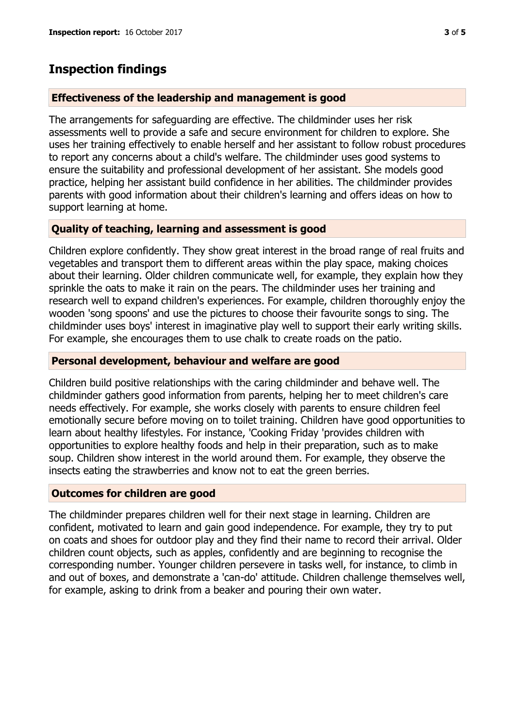# **Inspection findings**

#### **Effectiveness of the leadership and management is good**

The arrangements for safeguarding are effective. The childminder uses her risk assessments well to provide a safe and secure environment for children to explore. She uses her training effectively to enable herself and her assistant to follow robust procedures to report any concerns about a child's welfare. The childminder uses good systems to ensure the suitability and professional development of her assistant. She models good practice, helping her assistant build confidence in her abilities. The childminder provides parents with good information about their children's learning and offers ideas on how to support learning at home.

## **Quality of teaching, learning and assessment is good**

Children explore confidently. They show great interest in the broad range of real fruits and vegetables and transport them to different areas within the play space, making choices about their learning. Older children communicate well, for example, they explain how they sprinkle the oats to make it rain on the pears. The childminder uses her training and research well to expand children's experiences. For example, children thoroughly enjoy the wooden 'song spoons' and use the pictures to choose their favourite songs to sing. The childminder uses boys' interest in imaginative play well to support their early writing skills. For example, she encourages them to use chalk to create roads on the patio.

#### **Personal development, behaviour and welfare are good**

Children build positive relationships with the caring childminder and behave well. The childminder gathers good information from parents, helping her to meet children's care needs effectively. For example, she works closely with parents to ensure children feel emotionally secure before moving on to toilet training. Children have good opportunities to learn about healthy lifestyles. For instance, 'Cooking Friday 'provides children with opportunities to explore healthy foods and help in their preparation, such as to make soup. Children show interest in the world around them. For example, they observe the insects eating the strawberries and know not to eat the green berries.

#### **Outcomes for children are good**

The childminder prepares children well for their next stage in learning. Children are confident, motivated to learn and gain good independence. For example, they try to put on coats and shoes for outdoor play and they find their name to record their arrival. Older children count objects, such as apples, confidently and are beginning to recognise the corresponding number. Younger children persevere in tasks well, for instance, to climb in and out of boxes, and demonstrate a 'can-do' attitude. Children challenge themselves well, for example, asking to drink from a beaker and pouring their own water.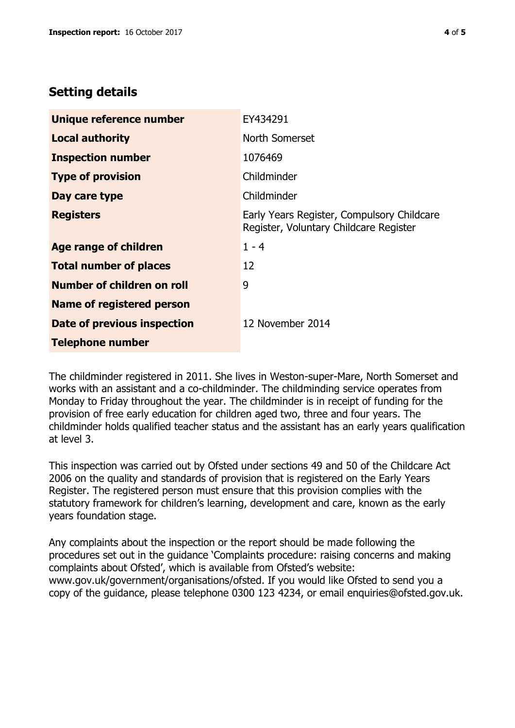## **Setting details**

| Unique reference number           | EY434291                                                                             |  |
|-----------------------------------|--------------------------------------------------------------------------------------|--|
| <b>Local authority</b>            | North Somerset                                                                       |  |
| <b>Inspection number</b>          | 1076469                                                                              |  |
| <b>Type of provision</b>          | Childminder                                                                          |  |
| Day care type                     | Childminder                                                                          |  |
| <b>Registers</b>                  | Early Years Register, Compulsory Childcare<br>Register, Voluntary Childcare Register |  |
| Age range of children             | $1 - 4$                                                                              |  |
| <b>Total number of places</b>     | 12                                                                                   |  |
| <b>Number of children on roll</b> | 9                                                                                    |  |
| Name of registered person         |                                                                                      |  |
| Date of previous inspection       | 12 November 2014                                                                     |  |
| <b>Telephone number</b>           |                                                                                      |  |

The childminder registered in 2011. She lives in Weston-super-Mare, North Somerset and works with an assistant and a co-childminder. The childminding service operates from Monday to Friday throughout the year. The childminder is in receipt of funding for the provision of free early education for children aged two, three and four years. The childminder holds qualified teacher status and the assistant has an early years qualification at level 3.

This inspection was carried out by Ofsted under sections 49 and 50 of the Childcare Act 2006 on the quality and standards of provision that is registered on the Early Years Register. The registered person must ensure that this provision complies with the statutory framework for children's learning, development and care, known as the early years foundation stage.

Any complaints about the inspection or the report should be made following the procedures set out in the guidance 'Complaints procedure: raising concerns and making complaints about Ofsted', which is available from Ofsted's website: www.gov.uk/government/organisations/ofsted. If you would like Ofsted to send you a copy of the guidance, please telephone 0300 123 4234, or email enquiries@ofsted.gov.uk.